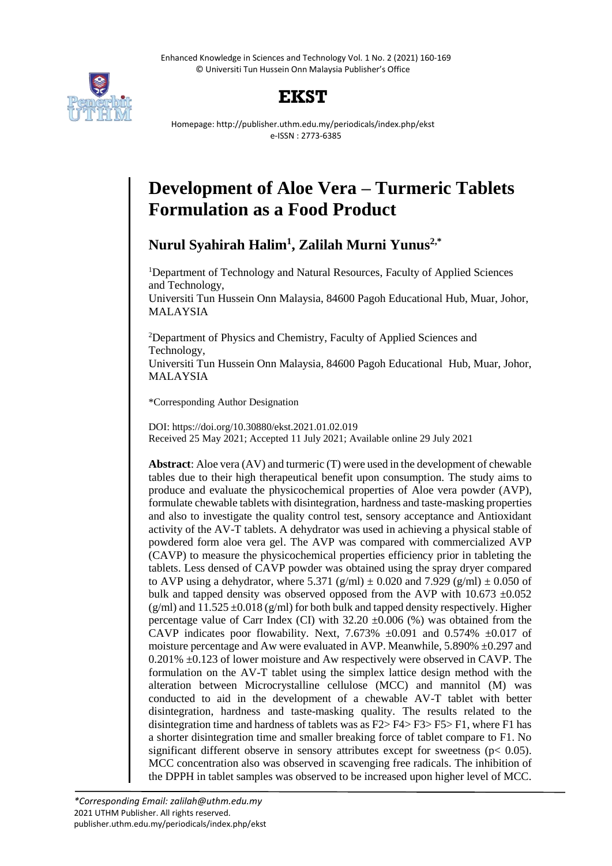Enhanced Knowledge in Sciences and Technology Vol. 1 No. 2 (2021) 160-169 © Universiti Tun Hussein Onn Malaysia Publisher's Office



# **EKST**

Homepage: http://publisher.uthm.edu.my/periodicals/index.php/ekst e-ISSN : 2773-6385

# **Development of Aloe Vera – Turmeric Tablets Formulation as a Food Product**

**Nurul Syahirah Halim<sup>1</sup> , Zalilah Murni Yunus2,\***

<sup>1</sup>Department of Technology and Natural Resources, Faculty of Applied Sciences and Technology, Universiti Tun Hussein Onn Malaysia, 84600 Pagoh Educational Hub, Muar, Johor, MALAYSIA

<sup>2</sup>Department of Physics and Chemistry, Faculty of Applied Sciences and Technology,

Universiti Tun Hussein Onn Malaysia, 84600 Pagoh Educational Hub, Muar, Johor, MALAYSIA

\*Corresponding Author Designation

DOI: https://doi.org/10.30880/ekst.2021.01.02.019 Received 25 May 2021; Accepted 11 July 2021; Available online 29 July 2021

**Abstract**: Aloe vera (AV) and turmeric (T) were used in the development of chewable tables due to their high therapeutical benefit upon consumption. The study aims to produce and evaluate the physicochemical properties of Aloe vera powder (AVP), formulate chewable tablets with disintegration, hardness and taste-masking properties and also to investigate the quality control test, sensory acceptance and Antioxidant activity of the AV-T tablets. A dehydrator was used in achieving a physical stable of powdered form aloe vera gel. The AVP was compared with commercialized AVP (CAVP) to measure the physicochemical properties efficiency prior in tableting the tablets. Less densed of CAVP powder was obtained using the spray dryer compared to AVP using a dehydrator, where 5.371 (g/ml)  $\pm$  0.020 and 7.929 (g/ml)  $\pm$  0.050 of bulk and tapped density was observed opposed from the AVP with  $10.673 \pm 0.052$  $(g/ml)$  and  $11.525 \pm 0.018$  (g/ml) for both bulk and tapped density respectively. Higher percentage value of Carr Index (CI) with  $32.20 \pm 0.006$  (%) was obtained from the CAVP indicates poor flowability. Next, 7.673%  $\pm 0.091$  and 0.574%  $\pm 0.017$  of moisture percentage and Aw were evaluated in AVP. Meanwhile, 5.890% ±0.297 and  $0.201\% \pm 0.123$  of lower moisture and Aw respectively were observed in CAVP. The formulation on the AV-T tablet using the simplex lattice design method with the alteration between Microcrystalline cellulose (MCC) and mannitol (M) was conducted to aid in the development of a chewable AV-T tablet with better disintegration, hardness and taste-masking quality. The results related to the disintegration time and hardness of tablets was as F2> F4> F3> F5> F1, where F1 has a shorter disintegration time and smaller breaking force of tablet compare to F1. No significant different observe in sensory attributes except for sweetness ( $p < 0.05$ ). MCC concentration also was observed in scavenging free radicals. The inhibition of the DPPH in tablet samples was observed to be increased upon higher level of MCC.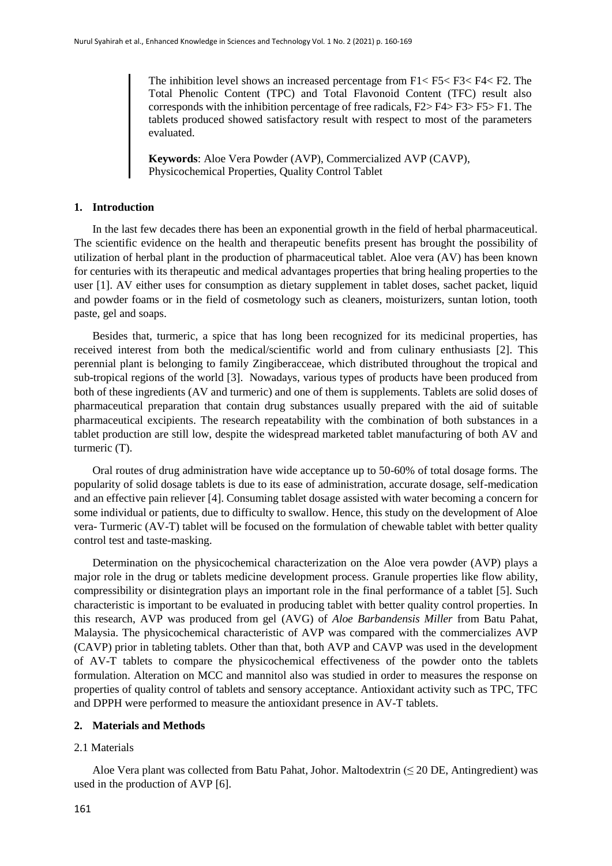The inhibition level shows an increased percentage from F1< F5< F3< F4< F2. The Total Phenolic Content (TPC) and Total Flavonoid Content (TFC) result also corresponds with the inhibition percentage of free radicals, F2> F4> F3> F5> F1. The tablets produced showed satisfactory result with respect to most of the parameters evaluated.

**Keywords**: Aloe Vera Powder (AVP), Commercialized AVP (CAVP), Physicochemical Properties, Quality Control Tablet

# **1. Introduction**

In the last few decades there has been an exponential growth in the field of herbal pharmaceutical. The scientific evidence on the health and therapeutic benefits present has brought the possibility of utilization of herbal plant in the production of pharmaceutical tablet. Aloe vera (AV) has been known for centuries with its therapeutic and medical advantages properties that bring healing properties to the user [1]. AV either uses for consumption as dietary supplement in tablet doses, sachet packet, liquid and powder foams or in the field of cosmetology such as cleaners, moisturizers, suntan lotion, tooth paste, gel and soaps.

Besides that, turmeric, a spice that has long been recognized for its medicinal properties, has received interest from both the medical/scientific world and from culinary enthusiasts [2]. This perennial plant is belonging to family Zingiberacceae, which distributed throughout the tropical and sub-tropical regions of the world [3]. Nowadays, various types of products have been produced from both of these ingredients (AV and turmeric) and one of them is supplements. Tablets are solid doses of pharmaceutical preparation that contain drug substances usually prepared with the aid of suitable pharmaceutical excipients. The research repeatability with the combination of both substances in a tablet production are still low, despite the widespread marketed tablet manufacturing of both AV and turmeric (T).

Oral routes of drug administration have wide acceptance up to 50-60% of total dosage forms. The popularity of solid dosage tablets is due to its ease of administration, accurate dosage, self-medication and an effective pain reliever [4]. Consuming tablet dosage assisted with water becoming a concern for some individual or patients, due to difficulty to swallow. Hence, this study on the development of Aloe vera- Turmeric (AV-T) tablet will be focused on the formulation of chewable tablet with better quality control test and taste-masking.

Determination on the physicochemical characterization on the Aloe vera powder (AVP) plays a major role in the drug or tablets medicine development process. Granule properties like flow ability, compressibility or disintegration plays an important role in the final performance of a tablet [5]. Such characteristic is important to be evaluated in producing tablet with better quality control properties. In this research, AVP was produced from gel (AVG) of *Aloe Barbandensis Miller* from Batu Pahat, Malaysia. The physicochemical characteristic of AVP was compared with the commercializes AVP (CAVP) prior in tableting tablets. Other than that, both AVP and CAVP was used in the development of AV-T tablets to compare the physicochemical effectiveness of the powder onto the tablets formulation. Alteration on MCC and mannitol also was studied in order to measures the response on properties of quality control of tablets and sensory acceptance. Antioxidant activity such as TPC, TFC and DPPH were performed to measure the antioxidant presence in AV-T tablets.

# **2. Materials and Methods**

# 2.1 Materials

Aloe Vera plant was collected from Batu Pahat, Johor. Maltodextrin  $(\leq 20$  DE, Antingredient) was used in the production of AVP [6].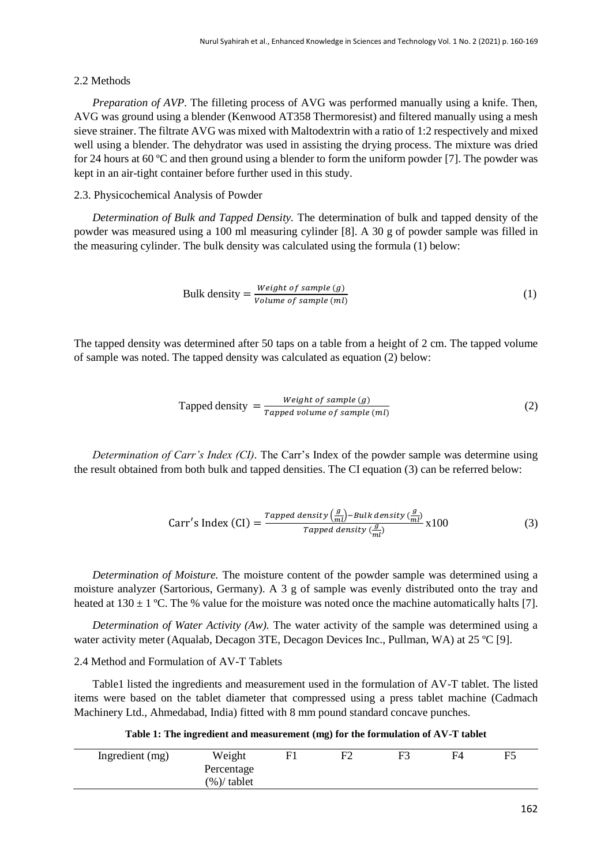#### 2.2 Methods

*Preparation of AVP.* The filleting process of AVG was performed manually using a knife. Then, AVG was ground using a blender (Kenwood AT358 Thermoresist) and filtered manually using a mesh sieve strainer. The filtrate AVG was mixed with Maltodextrin with a ratio of 1:2 respectively and mixed well using a blender. The dehydrator was used in assisting the drying process. The mixture was dried for 24 hours at 60 ºC and then ground using a blender to form the uniform powder [7]. The powder was kept in an air-tight container before further used in this study.

#### 2.3. Physicochemical Analysis of Powder

*Determination of Bulk and Tapped Density.* The determination of bulk and tapped density of the powder was measured using a 100 ml measuring cylinder [8]. A 30 g of powder sample was filled in the measuring cylinder. The bulk density was calculated using the formula (1) below:

Bulk density = 
$$
\frac{Weight\ of\ sample\ (g)}{Volume\ of\ sample\ (ml)}
$$
 (1)

The tapped density was determined after 50 taps on a table from a height of 2 cm. The tapped volume of sample was noted. The tapped density was calculated as equation (2) below:

Tapped density 
$$
=
$$
  $\frac{Weight \ of \ sample \ (g)}{Tapped \ volume \ of \ sample \ (ml)}$  (2)

*Determination of Carr's Index (CI).* The Carr's Index of the powder sample was determine using the result obtained from both bulk and tapped densities. The CI equation (3) can be referred below:

Carr's Index (CI) = 
$$
\frac{\text{Tapped density} \left(\frac{g}{ml}\right) - \text{Bulk density} \left(\frac{g}{ml}\right)}{\text{Tapped density} \left(\frac{g}{ml}\right)} \times 100
$$
 (3)

*Determination of Moisture.* The moisture content of the powder sample was determined using a moisture analyzer (Sartorious, Germany). A 3 g of sample was evenly distributed onto the tray and heated at  $130 \pm 1$  °C. The % value for the moisture was noted once the machine automatically halts [7].

*Determination of Water Activity (Aw).* The water activity of the sample was determined using a water activity meter (Aqualab, Decagon 3TE, Decagon Devices Inc., Pullman, WA) at 25 °C [9].

# 2.4 Method and Formulation of AV-T Tablets

Table1 listed the ingredients and measurement used in the formulation of AV-T tablet. The listed items were based on the tablet diameter that compressed using a press tablet machine (Cadmach Machinery Ltd., Ahmedabad, India) fitted with 8 mm pound standard concave punches.

**Table 1: The ingredient and measurement (mg) for the formulation of AV-T tablet**

| Ingredient (mg) | Weight        | $F^{\frown}$ | F3 | F4 | F5 |
|-----------------|---------------|--------------|----|----|----|
|                 | Percentage    |              |    |    |    |
|                 | $(\%)$ tablet |              |    |    |    |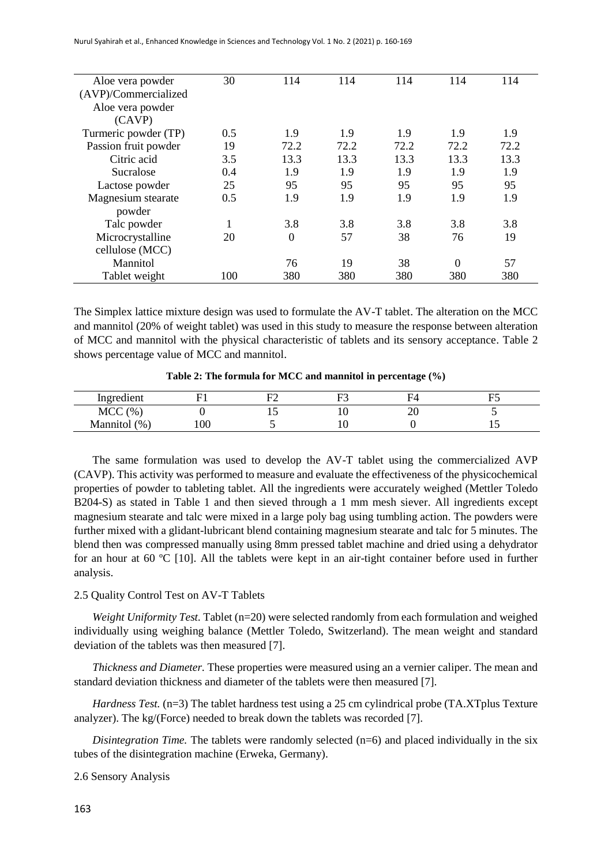Nurul Syahirah et al., Enhanced Knowledge in Sciences and Technology Vol. 1 No. 2 (2021) p. 160-169

| Aloe vera powder     | 30  | 114            | 114  | 114  | 114      | 114  |
|----------------------|-----|----------------|------|------|----------|------|
| (AVP)/Commercialized |     |                |      |      |          |      |
| Aloe vera powder     |     |                |      |      |          |      |
| (CAVP)               |     |                |      |      |          |      |
| Turmeric powder (TP) | 0.5 | 1.9            | 1.9  | 1.9  | 1.9      | 1.9  |
| Passion fruit powder | 19  | 72.2           | 72.2 | 72.2 | 72.2     | 72.2 |
| Citric acid          | 3.5 | 13.3           | 13.3 | 13.3 | 13.3     | 13.3 |
| Sucralose            | 0.4 | 1.9            | 1.9  | 1.9  | 1.9      | 1.9  |
| Lactose powder       | 25  | 95             | 95   | 95   | 95       | 95   |
| Magnesium stearate   | 0.5 | 1.9            | 1.9  | 1.9  | 1.9      | 1.9  |
| powder               |     |                |      |      |          |      |
| Talc powder          | 1   | 3.8            | 3.8  | 3.8  | 3.8      | 3.8  |
| Microcrystalline     | 20  | $\overline{0}$ | 57   | 38   | 76       | 19   |
| cellulose (MCC)      |     |                |      |      |          |      |
| Mannitol             |     | 76             | 19   | 38   | $\Omega$ | 57   |
| Tablet weight        | 100 | 380            | 380  | 380  | 380      | 380  |

The Simplex lattice mixture design was used to formulate the AV-T tablet. The alteration on the MCC and mannitol (20% of weight tablet) was used in this study to measure the response between alteration of MCC and mannitol with the physical characteristic of tablets and its sensory acceptance. Table 2 shows percentage value of MCC and mannitol.

**Table 2: The formula for MCC and mannitol in percentage (%)**

| $\cdot$<br>Ingredient |     | -- | $\overline{\phantom{a}}$ |    |    |
|-----------------------|-----|----|--------------------------|----|----|
| <b>MCC</b><br>(% )    |     | ∸  |                          | ∠∪ |    |
| (%<br><b>Mannitol</b> | 100 |    |                          |    | ⊥ື |

The same formulation was used to develop the AV-T tablet using the commercialized AVP (CAVP). This activity was performed to measure and evaluate the effectiveness of the physicochemical properties of powder to tableting tablet. All the ingredients were accurately weighed (Mettler Toledo B204-S) as stated in Table 1 and then sieved through a 1 mm mesh siever. All ingredients except magnesium stearate and talc were mixed in a large poly bag using tumbling action. The powders were further mixed with a glidant-lubricant blend containing magnesium stearate and talc for 5 minutes. The blend then was compressed manually using 8mm pressed tablet machine and dried using a dehydrator for an hour at 60 ºC [10]. All the tablets were kept in an air-tight container before used in further analysis.

#### 2.5 Quality Control Test on AV-T Tablets

*Weight Uniformity Test.* Tablet (n=20) were selected randomly from each formulation and weighed individually using weighing balance (Mettler Toledo, Switzerland). The mean weight and standard deviation of the tablets was then measured [7].

*Thickness and Diameter.* These properties were measured using an a vernier caliper. The mean and standard deviation thickness and diameter of the tablets were then measured [7].

*Hardness Test.* (n=3) The tablet hardness test using a 25 cm cylindrical probe (TA.XTplus Texture analyzer). The kg/(Force) needed to break down the tablets was recorded [7].

*Disintegration Time.* The tablets were randomly selected (n=6) and placed individually in the six tubes of the disintegration machine (Erweka, Germany).

2.6 Sensory Analysis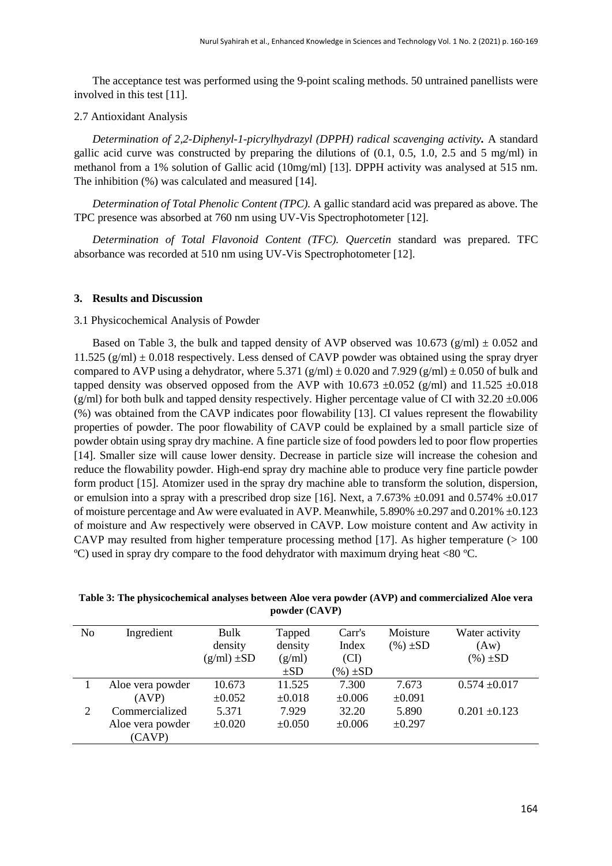The acceptance test was performed using the 9-point scaling methods. 50 untrained panellists were involved in this test [11].

#### 2.7 Antioxidant Analysis

*Determination of 2,2-Diphenyl-1-picrylhydrazyl (DPPH) radical scavenging activity.* A standard gallic acid curve was constructed by preparing the dilutions of  $(0.1, 0.5, 1.0, 2.5, \text{ and } 5 \text{ ms/ml})$  in methanol from a 1% solution of Gallic acid (10mg/ml) [13]. DPPH activity was analysed at 515 nm. The inhibition (%) was calculated and measured [14].

*Determination of Total Phenolic Content (TPC).* A gallic standard acid was prepared as above. The TPC presence was absorbed at 760 nm using UV-Vis Spectrophotometer [12].

*Determination of Total Flavonoid Content (TFC). Quercetin* standard was prepared. TFC absorbance was recorded at 510 nm using UV-Vis Spectrophotometer [12].

#### **3. Results and Discussion**

#### 3.1 Physicochemical Analysis of Powder

Based on Table 3, the bulk and tapped density of AVP observed was  $10.673$  (g/ml)  $\pm 0.052$  and 11.525 (g/ml)  $\pm$  0.018 respectively. Less densed of CAVP powder was obtained using the spray dryer compared to AVP using a dehydrator, where 5.371 (g/ml)  $\pm$  0.020 and 7.929 (g/ml)  $\pm$  0.050 of bulk and tapped density was observed opposed from the AVP with 10.673  $\pm$ 0.052 (g/ml) and 11.525  $\pm$ 0.018 (g/ml) for both bulk and tapped density respectively. Higher percentage value of CI with  $32.20 \pm 0.006$ (%) was obtained from the CAVP indicates poor flowability [13]. CI values represent the flowability properties of powder. The poor flowability of CAVP could be explained by a small particle size of powder obtain using spray dry machine. A fine particle size of food powders led to poor flow properties [14]. Smaller size will cause lower density. Decrease in particle size will increase the cohesion and reduce the flowability powder. High-end spray dry machine able to produce very fine particle powder form product [15]. Atomizer used in the spray dry machine able to transform the solution, dispersion, or emulsion into a spray with a prescribed drop size [16]. Next, a 7.673%  $\pm 0.091$  and 0.574%  $\pm 0.017$ of moisture percentage and Aw were evaluated in AVP. Meanwhile, 5.890% ±0.297 and 0.201% ±0.123 of moisture and Aw respectively were observed in CAVP. Low moisture content and Aw activity in CAVP may resulted from higher temperature processing method [17]. As higher temperature  $(>100$ ºC) used in spray dry compare to the food dehydrator with maximum drying heat <80 ºC.

**Table 3: The physicochemical analyses between Aloe vera powder (AVP) and commercialized Aloe vera powder (CAVP)**

| N <sub>0</sub> | Ingredient       | Bulk            | Tapped      | Carr's       | Moisture     | Water activity    |
|----------------|------------------|-----------------|-------------|--------------|--------------|-------------------|
|                |                  | density         | density     | Index        | $(\%)\pm SD$ | (Aw)              |
|                |                  | $(g/ml) \pm SD$ | (g/ml)      | (CI)         |              | $(\%)\pm SD$      |
|                |                  |                 | $\pm SD$    | $(\%)\pm SD$ |              |                   |
|                | Aloe vera powder | 10.673          | 11.525      | 7.300        | 7.673        | $0.574 \pm 0.017$ |
|                | (AVP)            | $\pm 0.052$     | $\pm 0.018$ | $\pm 0.006$  | $\pm 0.091$  |                   |
| 2              | Commercialized   | 5.371           | 7.929       | 32.20        | 5.890        | $0.201 \pm 0.123$ |
|                | Aloe vera powder | $\pm 0.020$     | $\pm 0.050$ | $\pm 0.006$  | ±0.297       |                   |
|                | (CAVP)           |                 |             |              |              |                   |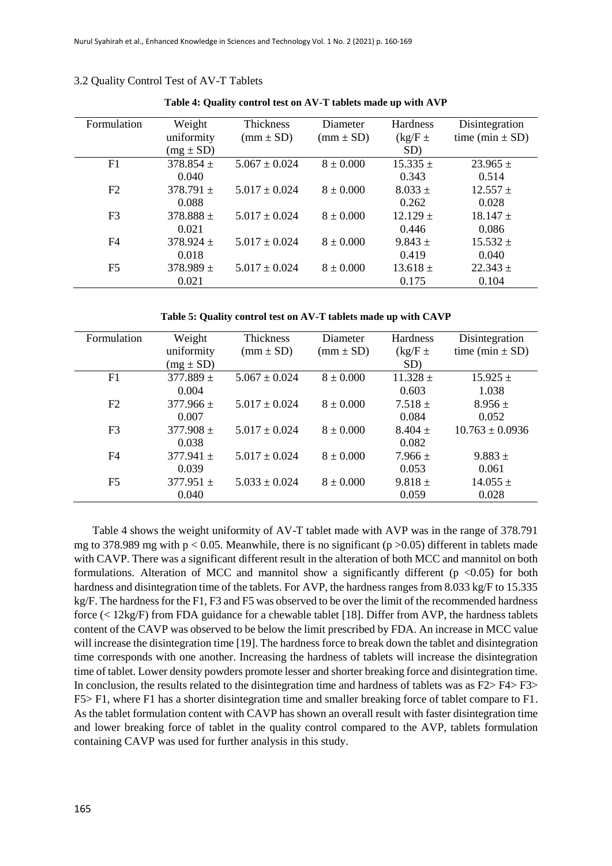| Formulation    | Weight        | Thickness         | Diameter      | Hardness     | Disintegration      |
|----------------|---------------|-------------------|---------------|--------------|---------------------|
|                | uniformity    | $(mm \pm SD)$     | $(mm \pm SD)$ | $(kg/F \pm$  | time (min $\pm$ SD) |
|                | $(mg \pm SD)$ |                   |               | SD)          |                     |
| F1             | $378.854 \pm$ | $5.067 \pm 0.024$ | $8 \pm 0.000$ | $15.335 \pm$ | $23.965 \pm$        |
|                | 0.040         |                   |               | 0.343        | 0.514               |
| F <sub>2</sub> | $378.791 \pm$ | $5.017 + 0.024$   | $8 \pm 0.000$ | $8.033 \pm$  | $12.557 \pm$        |
|                | 0.088         |                   |               | 0.262        | 0.028               |
| F <sub>3</sub> | $378.888 \pm$ | $5.017 \pm 0.024$ | $8 \pm 0.000$ | $12.129 \pm$ | $18.147 \pm$        |
|                | 0.021         |                   |               | 0.446        | 0.086               |
| F <sub>4</sub> | $378.924 \pm$ | $5.017 + 0.024$   | $8 \pm 0.000$ | $9.843 \pm$  | $15.532 \pm$        |
|                | 0.018         |                   |               | 0.419        | 0.040               |
| F5             | $378.989 \pm$ | $5.017 \pm 0.024$ | $8 \pm 0.000$ | $13.618 \pm$ | $22.343 \pm$        |
|                | 0.021         |                   |               | 0.175        | 0.104               |

3.2 Quality Control Test of AV-T Tablets

**Table 4: Quality control test on AV-T tablets made up with AVP**

**Table 5: Quality control test on AV-T tablets made up with CAVP**

| Formulation    | Weight        | Thickness         | Diameter      | <b>Hardness</b> | Disintegration      |
|----------------|---------------|-------------------|---------------|-----------------|---------------------|
|                | uniformity    | $(mm \pm SD)$     | $(mm \pm SD)$ | $(kg/F \pm$     | time (min $\pm$ SD) |
|                | $(mg \pm SD)$ |                   |               | SD)             |                     |
| F1             | $377.889 \pm$ | $5.067 \pm 0.024$ | $8 \pm 0.000$ | $11.328 \pm$    | $15.925 \pm$        |
|                | 0.004         |                   |               | 0.603           | 1.038               |
| F2             | $377.966 \pm$ | $5.017 \pm 0.024$ | $8 \pm 0.000$ | $7.518 \pm$     | $8.956 \pm$         |
|                | 0.007         |                   |               | 0.084           | 0.052               |
| F <sub>3</sub> | $377.908 \pm$ | $5.017 \pm 0.024$ | $8 \pm 0.000$ | $8.404 \pm$     | $10.763 \pm 0.0936$ |
|                | 0.038         |                   |               | 0.082           |                     |
| F4             | $377.941 \pm$ | $5.017 \pm 0.024$ | $8 \pm 0.000$ | $7.966 \pm$     | $9.883 +$           |
|                | 0.039         |                   |               | 0.053           | 0.061               |
| F <sub>5</sub> | $377.951 \pm$ | $5.033 \pm 0.024$ | $8 \pm 0.000$ | $9.818 \pm$     | $14.055 \pm$        |
|                | 0.040         |                   |               | 0.059           | 0.028               |

Table 4 shows the weight uniformity of AV-T tablet made with AVP was in the range of 378.791 mg to 378.989 mg with  $p < 0.05$ . Meanwhile, there is no significant ( $p > 0.05$ ) different in tablets made with CAVP. There was a significant different result in the alteration of both MCC and mannitol on both formulations. Alteration of MCC and mannitol show a significantly different  $(p \le 0.05)$  for both hardness and disintegration time of the tablets. For AVP, the hardness ranges from 8.033 kg/F to 15.335 kg/F. The hardness for the F1, F3 and F5 was observed to be over the limit of the recommended hardness force (< 12kg/F) from FDA guidance for a chewable tablet [18]. Differ from AVP, the hardness tablets content of the CAVP was observed to be below the limit prescribed by FDA. An increase in MCC value will increase the disintegration time [19]. The hardness force to break down the tablet and disintegration time corresponds with one another. Increasing the hardness of tablets will increase the disintegration time of tablet. Lower density powders promote lesser and shorter breaking force and disintegration time. In conclusion, the results related to the disintegration time and hardness of tablets was as F2> F4> F3> F5> F1, where F1 has a shorter disintegration time and smaller breaking force of tablet compare to F1. As the tablet formulation content with CAVP has shown an overall result with faster disintegration time and lower breaking force of tablet in the quality control compared to the AVP, tablets formulation containing CAVP was used for further analysis in this study.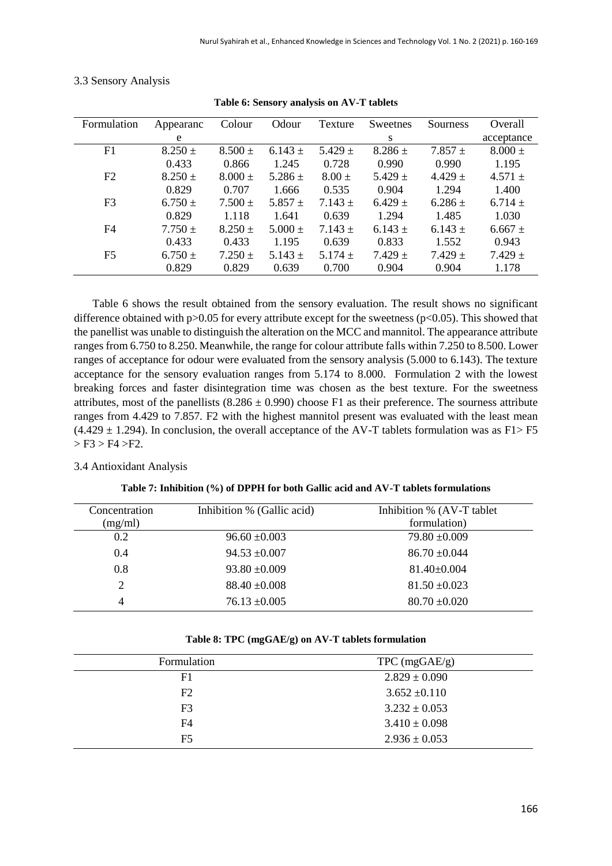| Formulation    | Appearanc   | Colour      | Odour       | Texture     | Sweetnes    | Sourness    | Overall     |
|----------------|-------------|-------------|-------------|-------------|-------------|-------------|-------------|
|                | e           |             |             |             | S           |             | acceptance  |
| F1             | $8.250 \pm$ | $8.500 \pm$ | $6.143 \pm$ | $5.429 +$   | $8.286 \pm$ | $7.857 +$   | $8.000 \pm$ |
|                | 0.433       | 0.866       | 1.245       | 0.728       | 0.990       | 0.990       | 1.195       |
| F2             | $8.250 \pm$ | $8.000 \pm$ | 5.286 $\pm$ | $8.00 \pm$  | $5.429 +$   | $4.429 +$   | $4.571 \pm$ |
|                | 0.829       | 0.707       | 1.666       | 0.535       | 0.904       | 1.294       | 1.400       |
| F <sub>3</sub> | $6.750 \pm$ | $7.500 \pm$ | 5.857 $\pm$ | $7.143 \pm$ | $6.429 +$   | $6.286 \pm$ | $6.714 \pm$ |
|                | 0.829       | 1.118       | 1.641       | 0.639       | 1.294       | 1.485       | 1.030       |
| F4             | $7.750 \pm$ | $8.250 \pm$ | $5.000 \pm$ | $7.143 \pm$ | $6.143 \pm$ | $6.143 \pm$ | $6.667 \pm$ |
|                | 0.433       | 0.433       | 1.195       | 0.639       | 0.833       | 1.552       | 0.943       |
| F5             | $6.750 \pm$ | $7.250 \pm$ | 5.143 $\pm$ | 5.174 $\pm$ | $7.429 \pm$ | $7.429 \pm$ | $7.429 \pm$ |
|                | 0.829       | 0.829       | 0.639       | 0.700       | 0.904       | 0.904       | 1.178       |

|  | 3.3 Sensory Analysis |  |  |
|--|----------------------|--|--|
|--|----------------------|--|--|

**Table 6: Sensory analysis on AV-T tablets**

Table 6 shows the result obtained from the sensory evaluation. The result shows no significant difference obtained with p $>0.05$  for every attribute except for the sweetness (p $< 0.05$ ). This showed that the panellist was unable to distinguish the alteration on the MCC and mannitol. The appearance attribute ranges from 6.750 to 8.250. Meanwhile, the range for colour attribute falls within 7.250 to 8.500. Lower ranges of acceptance for odour were evaluated from the sensory analysis (5.000 to 6.143). The texture acceptance for the sensory evaluation ranges from 5.174 to 8.000. Formulation 2 with the lowest breaking forces and faster disintegration time was chosen as the best texture. For the sweetness attributes, most of the panellists  $(8.286 \pm 0.990)$  choose F1 as their preference. The sourness attribute ranges from 4.429 to 7.857. F2 with the highest mannitol present was evaluated with the least mean  $(4.429 \pm 1.294)$ . In conclusion, the overall acceptance of the AV-T tablets formulation was as F1> F5  $>$  F3  $>$  F4  $>$ F2.

# 3.4 Antioxidant Analysis

| Concentration<br>(mg/ml) | Inhibition % (Gallic acid) | Inhibition % (AV-T tablet)<br>formulation) |
|--------------------------|----------------------------|--------------------------------------------|
| 0.2                      | $96.60 \pm 0.003$          | $79.80 \pm 0.009$                          |
| 0.4                      | $94.53 \pm 0.007$          | $86.70 \pm 0.044$                          |
| 0.8                      | $93.80 \pm 0.009$          | $81.40 \pm 0.004$                          |
| 2                        | $88.40 \pm 0.008$          | $81.50 \pm 0.023$                          |
| 4                        | $76.13 \pm 0.005$          | $80.70 \pm 0.020$                          |

#### **Table 8: TPC (mgGAE/g) on AV-T tablets formulation**

| Formulation    | $TPC$ (mgGAE/g)   |
|----------------|-------------------|
| F1             | $2.829 \pm 0.090$ |
| F2             | $3.652 \pm 0.110$ |
| F <sub>3</sub> | $3.232 \pm 0.053$ |
| F4             | $3.410 \pm 0.098$ |
| F5             | $2.936 \pm 0.053$ |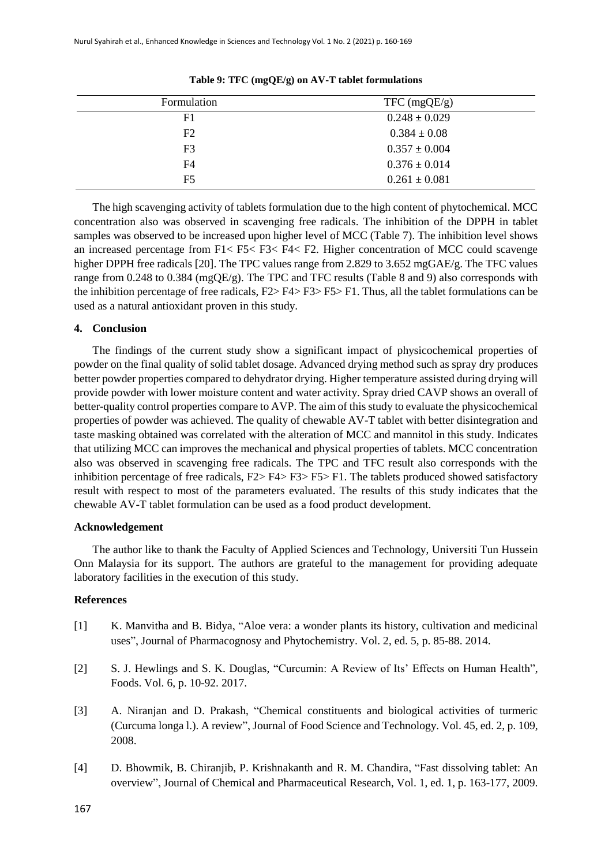| Formulation    | $TFC \left( \text{mgQE/g} \right)$ |
|----------------|------------------------------------|
| F1             | $0.248 \pm 0.029$                  |
| F <sub>2</sub> | $0.384 \pm 0.08$                   |
| F <sub>3</sub> | $0.357 \pm 0.004$                  |
| F4             | $0.376 \pm 0.014$                  |
| F <sub>5</sub> | $0.261 \pm 0.081$                  |

**Table 9: TFC (mgQE/g) on AV-T tablet formulations**

The high scavenging activity of tablets formulation due to the high content of phytochemical. MCC concentration also was observed in scavenging free radicals. The inhibition of the DPPH in tablet samples was observed to be increased upon higher level of MCC (Table 7). The inhibition level shows an increased percentage from F1< F5< F3< F4< F2. Higher concentration of MCC could scavenge higher DPPH free radicals [20]. The TPC values range from 2.829 to 3.652 mgGAE/g. The TFC values range from 0.248 to 0.384 (mgQE/g). The TPC and TFC results (Table 8 and 9) also corresponds with the inhibition percentage of free radicals,  $F2 > F4 > F3 > F5 > F1$ . Thus, all the tablet formulations can be used as a natural antioxidant proven in this study.

#### **4. Conclusion**

The findings of the current study show a significant impact of physicochemical properties of powder on the final quality of solid tablet dosage. Advanced drying method such as spray dry produces better powder properties compared to dehydrator drying. Higher temperature assisted during drying will provide powder with lower moisture content and water activity. Spray dried CAVP shows an overall of better-quality control properties compare to AVP. The aim of this study to evaluate the physicochemical properties of powder was achieved. The quality of chewable AV-T tablet with better disintegration and taste masking obtained was correlated with the alteration of MCC and mannitol in this study. Indicates that utilizing MCC can improves the mechanical and physical properties of tablets. MCC concentration also was observed in scavenging free radicals. The TPC and TFC result also corresponds with the inhibition percentage of free radicals, F2> F4> F3> F5> F1. The tablets produced showed satisfactory result with respect to most of the parameters evaluated. The results of this study indicates that the chewable AV-T tablet formulation can be used as a food product development.

## **Acknowledgement**

The author like to thank the Faculty of Applied Sciences and Technology, Universiti Tun Hussein Onn Malaysia for its support. The authors are grateful to the management for providing adequate laboratory facilities in the execution of this study.

### **References**

- [1] K. Manvitha and B. Bidya, "Aloe vera: a wonder plants its history, cultivation and medicinal uses", Journal of Pharmacognosy and Phytochemistry. Vol. 2, ed. 5, p. 85-88. 2014.
- [2] S. J. Hewlings and S. K. Douglas, "Curcumin: A Review of Its' Effects on Human Health", Foods. Vol. 6, p. 10-92. 2017.
- [3] A. Niranjan and D. Prakash, "Chemical constituents and biological activities of turmeric (Curcuma longa l.). A review", Journal of Food Science and Technology. Vol. 45, ed. 2, p. 109, 2008.
- [4] D. Bhowmik, B. Chiranjib, P. Krishnakanth and R. M. Chandira, "Fast dissolving tablet: An overview", Journal of Chemical and Pharmaceutical Research, Vol. 1, ed. 1, p. 163-177, 2009.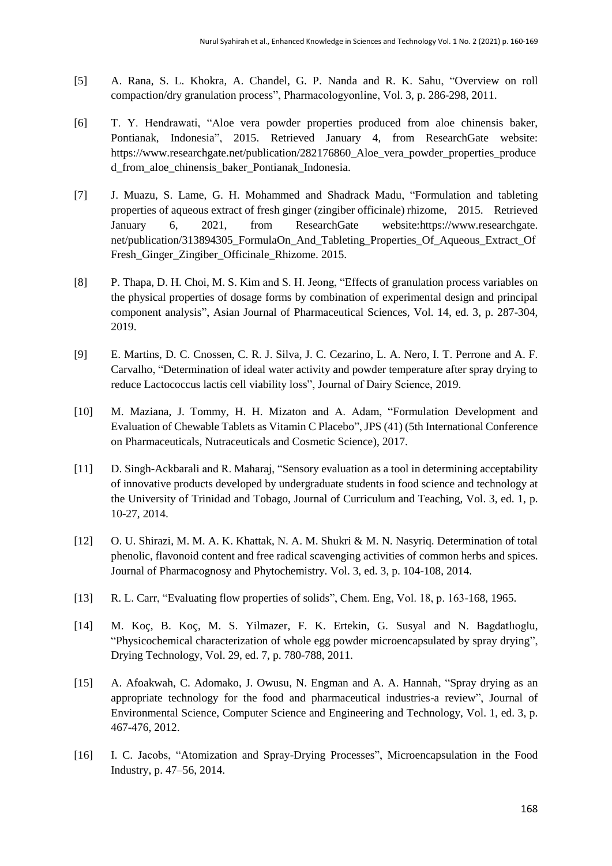- [5] A. Rana, S. L. Khokra, A. Chandel, G. P. Nanda and R. K. Sahu, "Overview on roll compaction/dry granulation process", Pharmacologyonline, Vol. 3, p. 286-298, 2011.
- [6] T. Y. Hendrawati, "Aloe vera powder properties produced from aloe chinensis baker, Pontianak, Indonesia", 2015. Retrieved January 4, from ResearchGate website: https://www.researchgate.net/publication/282176860\_Aloe\_vera\_powder\_properties\_produce d\_from\_aloe\_chinensis\_baker\_Pontianak\_Indonesia.
- [7] J. Muazu, S. Lame, G. H. Mohammed and Shadrack Madu, "Formulation and tableting properties of aqueous extract of fresh ginger (zingiber officinale) rhizome, 2015. Retrieved January 6, 2021, from ResearchGate website:https://www.researchgate. net/publication/313894305\_FormulaOn\_And\_Tableting\_Properties\_Of\_Aqueous\_Extract\_Of Fresh\_Ginger\_Zingiber\_Officinale\_Rhizome. 2015.
- [8] P. Thapa, D. H. Choi, M. S. Kim and S. H. Jeong, "Effects of granulation process variables on the physical properties of dosage forms by combination of experimental design and principal component analysis", Asian Journal of Pharmaceutical Sciences, Vol. 14, ed. 3, p. 287-304, 2019.
- [9] E. Martins, D. C. Cnossen, C. R. J. Silva, J. C. Cezarino, L. A. Nero, I. T. Perrone and A. F. Carvalho, "Determination of ideal water activity and powder temperature after spray drying to reduce Lactococcus lactis cell viability loss", Journal of Dairy Science, 2019.
- [10] M. Maziana, J. Tommy, H. H. Mizaton and A. Adam, "Formulation Development and Evaluation of Chewable Tablets as Vitamin C Placebo", JPS (41) (5th International Conference on Pharmaceuticals, Nutraceuticals and Cosmetic Science), 2017.
- [11] D. Singh-Ackbarali and R. Maharaj, "Sensory evaluation as a tool in determining acceptability of innovative products developed by undergraduate students in food science and technology at the University of Trinidad and Tobago, Journal of Curriculum and Teaching, Vol. 3, ed. 1, p. 10-27, 2014.
- [12] O. U. Shirazi, M. M. A. K. Khattak, N. A. M. Shukri & M. N. Nasyriq. Determination of total phenolic, flavonoid content and free radical scavenging activities of common herbs and spices. Journal of Pharmacognosy and Phytochemistry. Vol. 3, ed. 3, p. 104-108, 2014.
- [13] R. L. Carr, "Evaluating flow properties of solids", Chem. Eng, Vol. 18, p. 163-168, 1965.
- [14] M. Koç, B. Koç, M. S. Yilmazer, F. K. Ertekin, G. Susyal and N. Bagdatlıoglu, "Physicochemical characterization of whole egg powder microencapsulated by spray drying", Drying Technology, Vol. 29, ed. 7, p. 780-788, 2011.
- [15] A. Afoakwah, C. Adomako, J. Owusu, N. Engman and A. A. Hannah, "Spray drying as an appropriate technology for the food and pharmaceutical industries-a review", Journal of Environmental Science, Computer Science and Engineering and Technology, Vol. 1, ed. 3, p. 467-476, 2012.
- [16] I. C. Jacobs, "Atomization and Spray-Drying Processes", Microencapsulation in the Food Industry, p. 47–56, 2014.